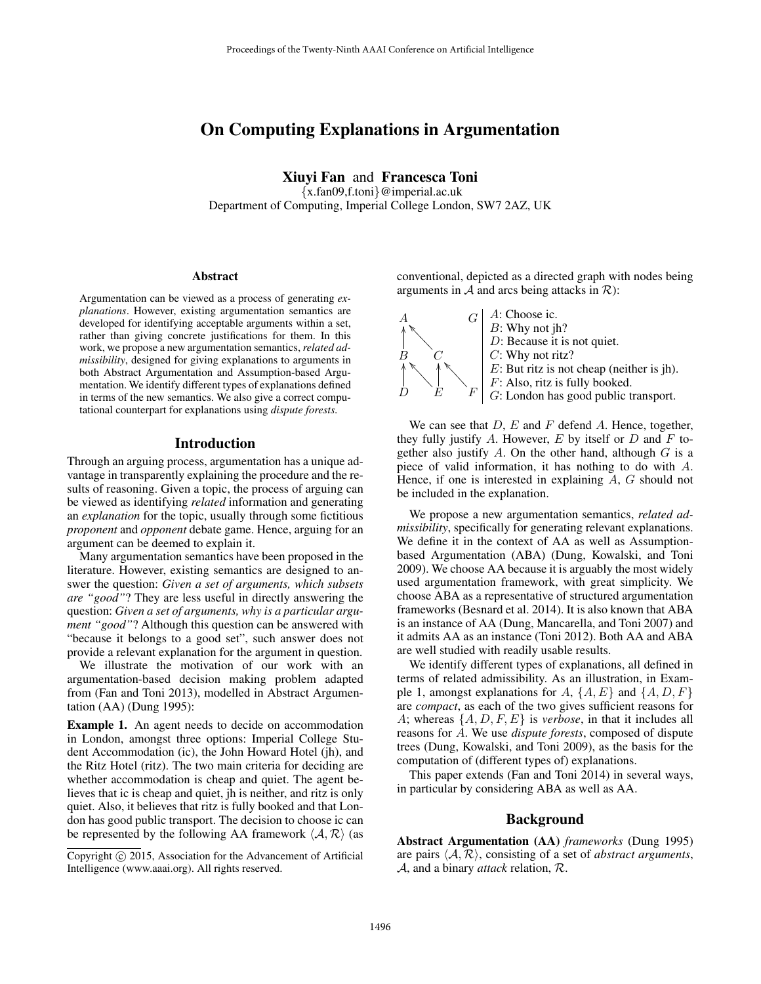# On Computing Explanations in Argumentation

Xiuyi Fan and Francesca Toni {x.fan09,f.toni}@imperial.ac.uk

Department of Computing, Imperial College London, SW7 2AZ, UK

#### **Abstract**

Argumentation can be viewed as a process of generating *explanations*. However, existing argumentation semantics are developed for identifying acceptable arguments within a set, rather than giving concrete justifications for them. In this work, we propose a new argumentation semantics, *related admissibility*, designed for giving explanations to arguments in both Abstract Argumentation and Assumption-based Argumentation. We identify different types of explanations defined in terms of the new semantics. We also give a correct computational counterpart for explanations using *dispute forests.*

## Introduction

Through an arguing process, argumentation has a unique advantage in transparently explaining the procedure and the results of reasoning. Given a topic, the process of arguing can be viewed as identifying *related* information and generating an *explanation* for the topic, usually through some fictitious *proponent* and *opponent* debate game. Hence, arguing for an argument can be deemed to explain it.

Many argumentation semantics have been proposed in the literature. However, existing semantics are designed to answer the question: *Given a set of arguments, which subsets are "good"*? They are less useful in directly answering the question: *Given a set of arguments, why is a particular argument "good"*? Although this question can be answered with "because it belongs to a good set", such answer does not provide a relevant explanation for the argument in question.

We illustrate the motivation of our work with an argumentation-based decision making problem adapted from (Fan and Toni 2013), modelled in Abstract Argumentation (AA) (Dung 1995):

Example 1. An agent needs to decide on accommodation in London, amongst three options: Imperial College Student Accommodation (ic), the John Howard Hotel (jh), and the Ritz Hotel (ritz). The two main criteria for deciding are whether accommodation is cheap and quiet. The agent believes that ic is cheap and quiet, jh is neither, and ritz is only quiet. Also, it believes that ritz is fully booked and that London has good public transport. The decision to choose ic can be represented by the following AA framework  $\langle A, R \rangle$  (as

conventional, depicted as a directed graph with nodes being arguments in  $A$  and arcs being attacks in  $R$ ):



We can see that  $D$ ,  $E$  and  $F$  defend  $A$ . Hence, together, they fully justify A. However,  $E$  by itself or  $D$  and  $F$  together also justify  $A$ . On the other hand, although  $G$  is a piece of valid information, it has nothing to do with A. Hence, if one is interested in explaining A, G should not be included in the explanation.

We propose a new argumentation semantics, *related admissibility*, specifically for generating relevant explanations. We define it in the context of AA as well as Assumptionbased Argumentation (ABA) (Dung, Kowalski, and Toni 2009). We choose AA because it is arguably the most widely used argumentation framework, with great simplicity. We choose ABA as a representative of structured argumentation frameworks (Besnard et al. 2014). It is also known that ABA is an instance of AA (Dung, Mancarella, and Toni 2007) and it admits AA as an instance (Toni 2012). Both AA and ABA are well studied with readily usable results.

We identify different types of explanations, all defined in terms of related admissibility. As an illustration, in Example 1, amongst explanations for  $A$ ,  $\{A, E\}$  and  $\{A, D, F\}$ are *compact*, as each of the two gives sufficient reasons for A; whereas {A, D, F, E} is *verbose*, in that it includes all reasons for A. We use *dispute forests*, composed of dispute trees (Dung, Kowalski, and Toni 2009), as the basis for the computation of (different types of) explanations.

This paper extends (Fan and Toni 2014) in several ways, in particular by considering ABA as well as AA.

#### Background

Abstract Argumentation (AA) *frameworks* (Dung 1995) are pairs  $\langle A, R \rangle$ , consisting of a set of *abstract arguments*, A, and a binary *attack* relation, R.

Copyright (c) 2015, Association for the Advancement of Artificial Intelligence (www.aaai.org). All rights reserved.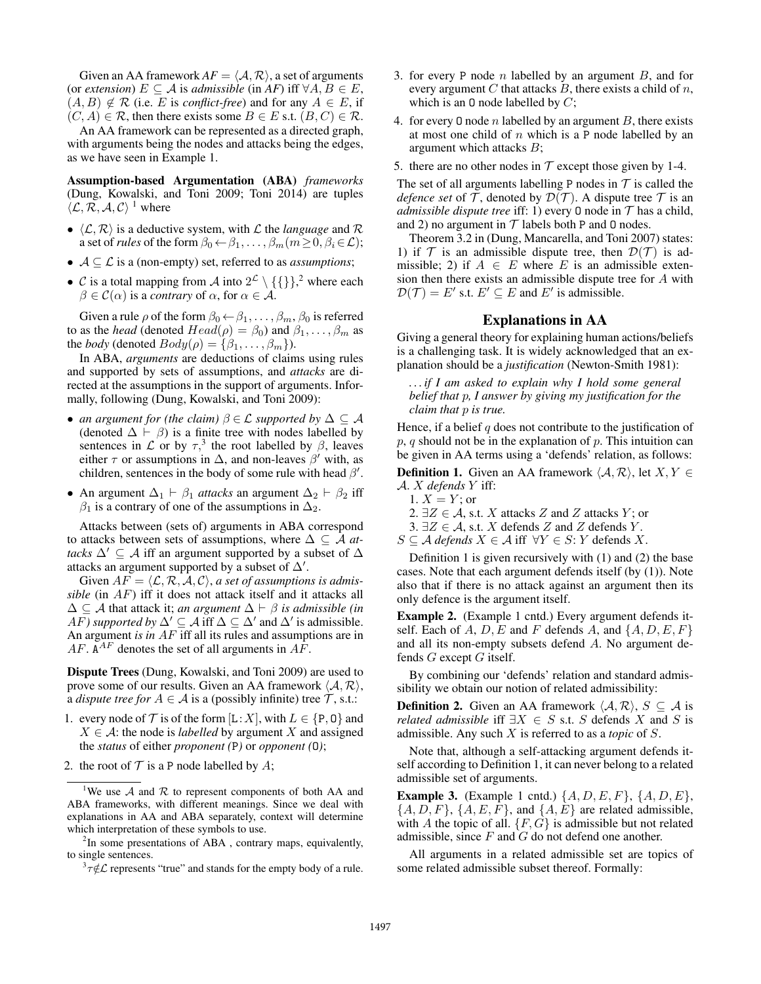Given an AA framework  $AF = \langle A, R \rangle$ , a set of arguments (or *extension*)  $E \subseteq A$  is *admissible* (in *AF*) iff  $\forall A, B \in E$ ,  $(A, B) \notin \mathcal{R}$  (i.e. E is *conflict-free*) and for any  $A \in E$ , if  $(C, A) \in \mathcal{R}$ , then there exists some  $B \in E$  s.t.  $(B, C) \in \mathcal{R}$ .

An AA framework can be represented as a directed graph, with arguments being the nodes and attacks being the edges, as we have seen in Example 1.

Assumption-based Argumentation (ABA) *frameworks* (Dung, Kowalski, and Toni 2009; Toni 2014) are tuples  $\langle \mathcal{L}, \mathcal{R}, \mathcal{A}, \mathcal{C} \rangle$ <sup>1</sup> where

- $\langle \mathcal{L}, \mathcal{R} \rangle$  is a deductive system, with  $\mathcal{L}$  the *language* and  $\mathcal{R}$ a set of *rules* of the form  $\beta_0 \leftarrow \beta_1, \ldots, \beta_m (m \ge 0, \beta_i \in \mathcal{L})$ ;
- $A \subseteq \mathcal{L}$  is a (non-empty) set, referred to as *assumptions*;
- C is a total mapping from A into  $2^{\mathcal{L}} \setminus \{\{\}\}\$ , where each  $\beta \in \mathcal{C}(\alpha)$  is a *contrary* of  $\alpha$ , for  $\alpha \in \mathcal{A}$ .

Given a rule  $\rho$  of the form  $\beta_0 \leftarrow \beta_1, \ldots, \beta_m, \beta_0$  is referred to as the *head* (denoted  $Head(\rho) = \beta_0$ ) and  $\beta_1, \ldots, \beta_m$  as the *body* (denoted  $Body(\rho) = {\beta_1, \ldots, \beta_m}.$ ).

In ABA, *arguments* are deductions of claims using rules and supported by sets of assumptions, and *attacks* are directed at the assumptions in the support of arguments. Informally, following (Dung, Kowalski, and Toni 2009):

- *an argument for (the claim)*  $\beta \in \mathcal{L}$  *supported by*  $\Delta \subseteq \mathcal{A}$ (denoted  $\Delta \vdash \beta$ ) is a finite tree with nodes labelled by sentences in  $\mathcal L$  or by  $\tau$ ,<sup>3</sup> the root labelled by  $\beta$ , leaves either  $\tau$  or assumptions in  $\Delta$ , and non-leaves  $\beta'$  with, as children, sentences in the body of some rule with head  $\beta'$ .
- An argument  $\Delta_1 \vdash \beta_1$  *attacks* an argument  $\Delta_2 \vdash \beta_2$  iff  $\beta_1$  is a contrary of one of the assumptions in  $\Delta_2$ .

Attacks between (sets of) arguments in ABA correspond to attacks between sets of assumptions, where  $\Delta \subseteq \mathcal{A}$  *attacks*  $\Delta' \subseteq A$  iff an argument supported by a subset of  $\Delta$ attacks an argument supported by a subset of  $\Delta'$ .

Given  $AF = \langle \mathcal{L}, \mathcal{R}, \mathcal{A}, \mathcal{C} \rangle$ , *a set of assumptions is admissible* (in AF) iff it does not attack itself and it attacks all  $\Delta$  ⊆ A that attack it; *an argument*  $\Delta$   $\vdash$  *β is admissible (in AF*) supported by  $\Delta' \subseteq A$  iff  $\Delta \subseteq \Delta'$  and  $\Delta'$  is admissible. An argument *is in AF* iff all its rules and assumptions are in  $AF$ .  $A^{AF}$  denotes the set of all arguments in  $A\overline{F}$ .

Dispute Trees (Dung, Kowalski, and Toni 2009) are used to prove some of our results. Given an AA framework  $\langle A, \mathcal{R} \rangle$ , a *dispute tree for*  $A \in \mathcal{A}$  is a (possibly infinite) tree  $\mathcal{T}$ , s.t.:

- 1. every node of  $\mathcal T$  is of the form  $[L:X]$ , with  $L \in \{P, \mathbf{0}\}$  and  $X \in \mathcal{A}$ : the node is *labelled* by argument X and assigned the *status* of either *proponent (*P*)* or *opponent (*O*)*;
- 2. the root of  $T$  is a P node labelled by  $A$ ;
- 3. for every P node *n* labelled by an argument  $B$ , and for every argument  $C$  that attacks  $B$ , there exists a child of  $n$ , which is an 0 node labelled by  $C$ ;
- 4. for every 0 node *n* labelled by an argument *B*, there exists at most one child of  $n$  which is a P node labelled by an argument which attacks B;
- 5. there are no other nodes in  $T$  except those given by 1-4.

The set of all arguments labelling P nodes in  $T$  is called the *defence set* of  $T$ , denoted by  $\mathcal{D}(T)$ . A dispute tree  $T$  is an *admissible dispute tree* iff: 1) every 0 node in  $T$  has a child, and 2) no argument in  $T$  labels both P and 0 nodes.

Theorem 3.2 in (Dung, Mancarella, and Toni 2007) states: 1) if  $T$  is an admissible dispute tree, then  $\mathcal{D}(\mathcal{T})$  is admissible; 2) if  $A \in E$  where E is an admissible extension then there exists an admissible dispute tree for A with  $\mathcal{D}(\mathcal{T}) = E'$  s.t.  $E' \subseteq E$  and  $E'$  is admissible.

## Explanations in AA

Giving a general theory for explaining human actions/beliefs is a challenging task. It is widely acknowledged that an explanation should be a *justification* (Newton-Smith 1981):

*. . . if I am asked to explain why I hold some general belief that* p*, I answer by giving my justification for the claim that* p *is true.*

Hence, if a belief  $q$  does not contribute to the justification of  $p, q$  should not be in the explanation of  $p$ . This intuition can be given in AA terms using a 'defends' relation, as follows:

**Definition 1.** Given an AA framework  $\langle A, \mathcal{R} \rangle$ , let  $X, Y \in$ A. X *defends* Y iff:

- 1.  $X = Y$ ; or
- 2.  $\exists Z \in \mathcal{A}$ , s.t. X attacks Z and Z attacks Y; or
- 3. ∃ $Z \in \mathcal{A}$ , s.t. X defends Z and Z defends Y.
- $S \subseteq A$  *defends*  $X \in A$  iff  $\forall Y \in S$ : Y defends X.

Definition 1 is given recursively with (1) and (2) the base cases. Note that each argument defends itself (by (1)). Note also that if there is no attack against an argument then its only defence is the argument itself.

Example 2. (Example 1 cntd.) Every argument defends itself. Each of A, D, E and F defends A, and  $\{A, D, E, F\}$ and all its non-empty subsets defend A. No argument defends  $G$  except  $G$  itself.

By combining our 'defends' relation and standard admissibility we obtain our notion of related admissibility:

**Definition 2.** Given an AA framework  $\langle A, \mathcal{R} \rangle$ ,  $S \subseteq A$  is *related admissible* iff  $\exists X \in S$  s.t. S defends X and S is admissible. Any such X is referred to as a *topic* of S.

Note that, although a self-attacking argument defends itself according to Definition 1, it can never belong to a related admissible set of arguments.

**Example 3.** (Example 1 cntd.)  $\{A, D, E, F\}$ ,  $\{A, D, E\}$ ,  $\{A, D, F\}, \{A, E, F\}, \text{ and } \{A, E\} \text{ are related admissible},$ with A the topic of all.  $\{F, G\}$  is admissible but not related admissible, since  $F$  and  $G$  do not defend one another.

All arguments in a related admissible set are topics of some related admissible subset thereof. Formally:

<sup>&</sup>lt;sup>1</sup>We use  $A$  and  $R$  to represent components of both AA and ABA frameworks, with different meanings. Since we deal with explanations in AA and ABA separately, context will determine which interpretation of these symbols to use.

 $2$ In some presentations of ABA, contrary maps, equivalently, to single sentences.

 $\int_0^3 \tau \notin \mathcal{L}$  represents "true" and stands for the empty body of a rule.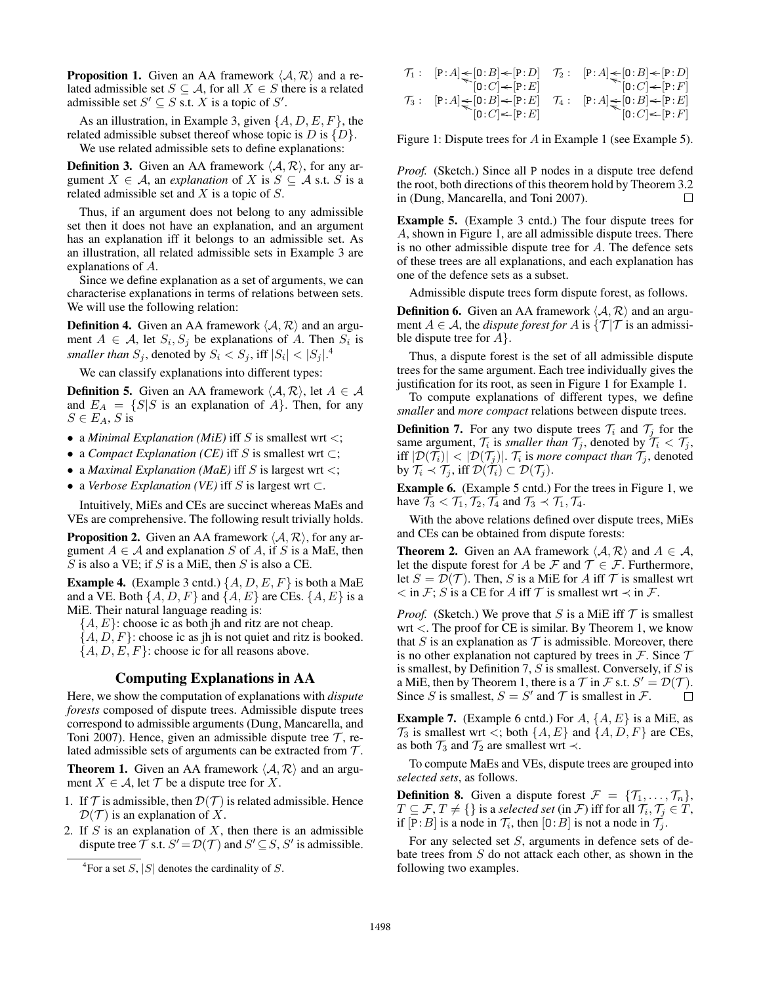**Proposition 1.** Given an AA framework  $\langle A, \mathcal{R} \rangle$  and a related admissible set  $S \subseteq A$ , for all  $X \in S$  there is a related admissible set  $S' \subseteq S$  s.t. X is a topic of  $S'$ .

As an illustration, in Example 3, given  $\{A, D, E, F\}$ , the related admissible subset thereof whose topic is  $D$  is  $\{D\}$ .

We use related admissible sets to define explanations:

**Definition 3.** Given an AA framework  $\langle A, \mathcal{R} \rangle$ , for any argument  $X \in \mathcal{A}$ , an *explanation* of X is  $S \subseteq \mathcal{A}$  s.t. S is a related admissible set and  $X$  is a topic of  $S$ .

Thus, if an argument does not belong to any admissible set then it does not have an explanation, and an argument has an explanation iff it belongs to an admissible set. As an illustration, all related admissible sets in Example 3 are explanations of A.

Since we define explanation as a set of arguments, we can characterise explanations in terms of relations between sets. We will use the following relation:

**Definition 4.** Given an AA framework  $\langle A, \mathcal{R} \rangle$  and an argument  $A \in \mathcal{A}$ , let  $S_i, S_j$  be explanations of A. Then  $S_i$  is *smaller than*  $S_j$ , denoted by  $S_i < S_j$ , iff  $|S_i| < |S_j|$ .<sup>4</sup>

We can classify explanations into different types:

**Definition 5.** Given an AA framework  $\langle A, \mathcal{R} \rangle$ , let  $A \in \mathcal{A}$ and  $E_A = \{S | S$  is an explanation of  $A\}$ . Then, for any  $S\in E_A,$  S is

- a *Minimal Explanation (MiE)* iff S is smallest wrt  $\lt$ ;
- a *Compact Explanation (CE)* iff S is smallest wrt ⊂;
- a *Maximal Explanation (MaE)* iff S is largest wrt <;
- a *Verbose Explanation (VE)* iff S is largest wrt ⊂.

Intuitively, MiEs and CEs are succinct whereas MaEs and VEs are comprehensive. The following result trivially holds.

**Proposition 2.** Given an AA framework  $\langle A, \mathcal{R} \rangle$ , for any argument  $A \in \mathcal{A}$  and explanation S of A, if S is a MaE, then S is also a VE; if S is a MiE, then S is also a CE.

**Example 4.** (Example 3 cntd.)  $\{A, D, E, F\}$  is both a MaE and a VE. Both  $\{A, D, F\}$  and  $\{A, E\}$  are CEs.  $\{A, E\}$  is a MiE. Their natural language reading is:

 ${A, E}$ : choose ic as both jh and ritz are not cheap.

 $\{A, D, F\}$ : choose ic as jh is not quiet and ritz is booked.

 $\{A, D, E, F\}$ : choose ic for all reasons above.

#### Computing Explanations in AA

Here, we show the computation of explanations with *dispute forests* composed of dispute trees. Admissible dispute trees correspond to admissible arguments (Dung, Mancarella, and Toni 2007). Hence, given an admissible dispute tree  $\mathcal{T}$ , related admissible sets of arguments can be extracted from  $\mathcal{T}$ .

**Theorem 1.** Given an AA framework  $\langle A, \mathcal{R} \rangle$  and an argument  $X \in \mathcal{A}$ , let  $\mathcal{T}$  be a dispute tree for X.

1. If  $\mathcal T$  is admissible, then  $\mathcal D(\mathcal T)$  is related admissible. Hence  $\mathcal{D}(\mathcal{T})$  is an explanation of X.

2. If  $S$  is an explanation of  $X$ , then there is an admissible dispute tree  $\tilde{T}$  s.t.  $S' = \mathcal{D}(\mathcal{T})$  and  $S' \subseteq S$ ,  $S'$  is admissible.

$$
\begin{array}{rl} \mathcal{T}_1: & [\mathbf{P}:A] \textcolor{red}{\leqslant} [\mathbf{0}:B] \textcolor{red}{\leqslant} [\mathbf{P}:D] & \mathcal{T}_2: & [\mathbf{P}:A] \textcolor{red}{\leqslant} [\mathbf{0}:B] \textcolor{red}{\leqslant} [\mathbf{P}:D] \\ & [\mathbf{0}:C] \textcolor{red}{\leqslant} [\mathbf{P}:A] \textcolor{red}{\leqslant} [\mathbf{0}:B] \textcolor{red}{\leqslant} [\mathbf{P}:E] & \mathcal{T}_4: & [\mathbf{P}:A] \textcolor{red}{\leqslant} [\mathbf{0}:B] \textcolor{red}{\leqslant} [\mathbf{P}:E] \\ & [\mathbf{0}:C] \textcolor{red}{\leqslant} [\mathbf{P}:E] & \mathbf{0}:C] \textcolor{red}{\leqslant} [\mathbf{P}:E] & [\mathbf{0}:C] \textcolor{red}{\leqslant} [\mathbf{P}:F] \end{array}
$$

Figure 1: Dispute trees for A in Example 1 (see Example 5).

*Proof.* (Sketch.) Since all P nodes in a dispute tree defend the root, both directions of this theorem hold by Theorem 3.2 in (Dung, Mancarella, and Toni 2007). П

Example 5. (Example 3 cntd.) The four dispute trees for A, shown in Figure 1, are all admissible dispute trees. There is no other admissible dispute tree for A. The defence sets of these trees are all explanations, and each explanation has one of the defence sets as a subset.

Admissible dispute trees form dispute forest, as follows.

**Definition 6.** Given an AA framework  $\langle A, R \rangle$  and an argument  $A \in \mathcal{A}$ , the *dispute forest for* A is  $\{\mathcal{T} | \mathcal{T} \text{ is an admissible}\}$ ble dispute tree for  $A$ .

Thus, a dispute forest is the set of all admissible dispute trees for the same argument. Each tree individually gives the justification for its root, as seen in Figure 1 for Example 1.

To compute explanations of different types, we define *smaller* and *more compact* relations between dispute trees.

**Definition 7.** For any two dispute trees  $\mathcal{T}_i$  and  $\mathcal{T}_j$  for the same argument,  $\mathcal{T}_i$  is *smaller than*  $\mathcal{T}_j$ , denoted by  $\mathcal{T}_i < \mathcal{T}_j$ , iff  $|\mathcal{D}(\mathcal{T}_i)| < |\mathcal{D}(\mathcal{T}_j)|$ .  $\mathcal{T}_i$  is *more compact than*  $\mathcal{T}_j$ , denoted by  $\mathcal{T}_i \prec \mathcal{T}_j$ , iff  $\mathcal{D}(\mathcal{T}_i) \subset \mathcal{D}(\mathcal{T}_j)$ .

Example 6. (Example 5 cntd.) For the trees in Figure 1, we have  $\mathcal{T}_3 < \mathcal{T}_1, \mathcal{T}_2, \mathcal{T}_4$  and  $\mathcal{T}_3 < \mathcal{T}_1, \mathcal{T}_4$ .

With the above relations defined over dispute trees, MiEs and CEs can be obtained from dispute forests:

**Theorem 2.** Given an AA framework  $\langle A, \mathcal{R} \rangle$  and  $A \in \mathcal{A}$ , let the dispute forest for A be F and  $\mathcal{T} \in \mathcal{F}$ . Furthermore, let  $S = \mathcal{D}(\mathcal{T})$ . Then, S is a MiE for A iff T is smallest wrt  $\lt$  in F; S is a CE for A iff T is smallest wrt  $\lt$  in F.

*Proof.* (Sketch.) We prove that S is a MiE iff  $\mathcal T$  is smallest wrt <. The proof for CE is similar. By Theorem 1, we know that S is an explanation as  $\mathcal T$  is admissible. Moreover, there is no other explanation not captured by trees in  $\mathcal F$ . Since  $\mathcal T$ is smallest, by Definition 7,  $S$  is smallest. Conversely, if  $S$  is a MiE, then by Theorem 1, there is a  $\mathcal T$  in  $\mathcal F$  s.t.  $S' = \mathcal D(\mathcal T)$ . Since S is smallest,  $S = S'$  and T is smallest in F. П

**Example 7.** (Example 6 cntd.) For  $A$ ,  $\{A, E\}$  is a MiE, as  $\mathcal{T}_3$  is smallest wrt <; both  $\{A, E\}$  and  $\{A, D, F\}$  are CEs, as both  $\mathcal{T}_3$  and  $\mathcal{T}_2$  are smallest wrt  $\prec$ .

To compute MaEs and VEs, dispute trees are grouped into *selected sets*, as follows.

**Definition 8.** Given a dispute forest  $\mathcal{F} = \{\mathcal{T}_1, \ldots, \mathcal{T}_n\},\$  $T \subseteq \mathcal{F}, T \neq \{\}$  is a *selected set* (in  $\mathcal{F})$  iff for all  $\mathcal{T}_i, \mathcal{T}_j \in T,$ if  $[P:B]$  is a node in  $\mathcal{T}_i$ , then  $[0:B]$  is not a node in  $\mathcal{T}_j$ .

For any selected set S, arguments in defence sets of debate trees from  $S$  do not attack each other, as shown in the following two examples.

<sup>&</sup>lt;sup>4</sup>For a set S, |S| denotes the cardinality of S.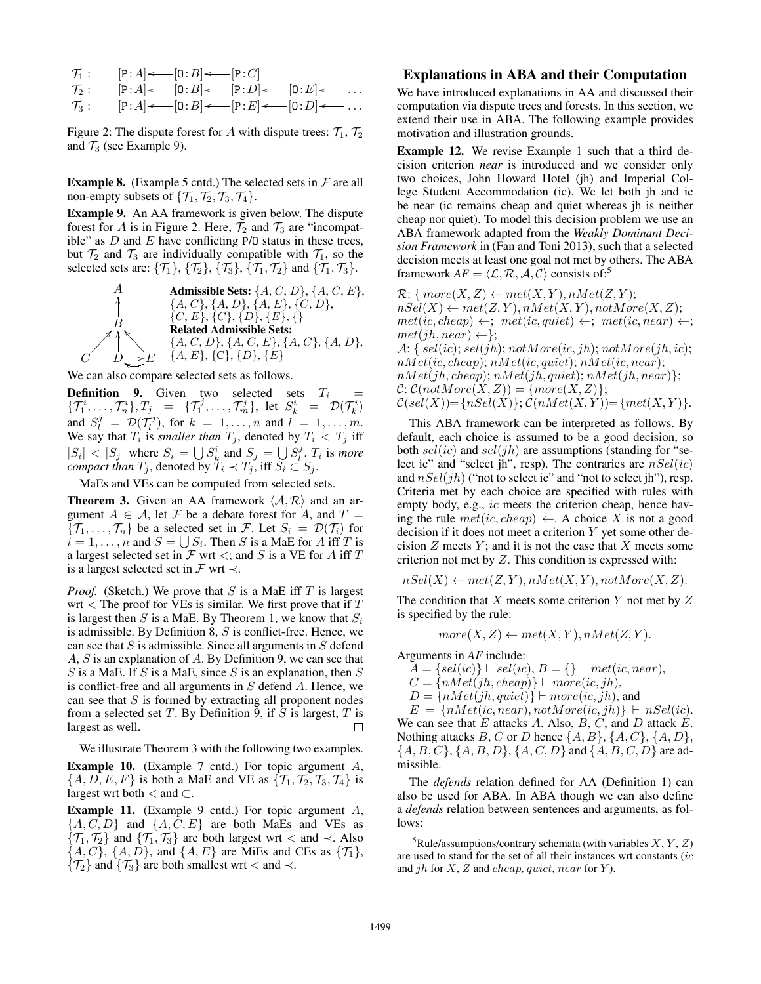$$
T_1: \t [P:A] \leftarrow [0:B] \leftarrow [P:C]
$$
  
\n
$$
T_2: \t [P:A] \leftarrow [0:B] \leftarrow [P:D] \leftarrow [0:E] \leftarrow \dots
$$
  
\n
$$
T_3: \t [P:A] \leftarrow [0:B] \leftarrow [P:E] \leftarrow [0:D] \leftarrow \dots
$$

Figure 2: The dispute forest for A with dispute trees:  $\mathcal{T}_1$ ,  $\mathcal{T}_2$ and  $\mathcal{T}_3$  (see Example 9).

**Example 8.** (Example 5 cntd.) The selected sets in  $\mathcal F$  are all non-empty subsets of  $\{\mathcal{T}_1, \mathcal{T}_2, \mathcal{T}_3, \mathcal{T}_4\}.$ 

Example 9. An AA framework is given below. The dispute forest for A is in Figure 2. Here,  $\mathcal{T}_2$  and  $\mathcal{T}_3$  are "incompatible" as  $D$  and  $E$  have conflicting P/O status in these trees, but  $\mathcal{T}_2$  and  $\mathcal{T}_3$  are individually compatible with  $\mathcal{T}_1$ , so the selected sets are:  $\{T_1\}$ ,  $\{T_2\}$ ,  $\{T_3\}$ ,  $\{T_1, T_2\}$  and  $\{T_1, T_3\}$ .

A  
\nA  
\nA. C, B, {*A, C, D*}, {*A, C, E*},  
\nA, C}, {*A, D*}, {*A, E*}, {*C, D*},  
\nB  
\n**Related Admissible Sets:**  
\n{*A, C, B*}, {*D*}, {*E*}, {}*B*  
\n**Related Admissible Sets:**  
\n{*A, C, D*}, {*A, C, E*}, {*A, C*}, {*A, D*},  
\nC  
\nD  
\n
$$
E
$$
\n{*A, E*}, {*C*}, {*D*}, {*E*}

We can also compare selected sets as follows.

**Definition 9.** Given two selected sets  $T_i$  $\{\mathcal{T}_1^i,\ldots,\mathcal{T}_n^i\}, \mathcal{T}_j$  =  $\{\mathcal{T}_1^j,\ldots,\mathcal{T}_m^j\},$  let  $S_k^i$  =  $\mathcal{D}(\mathcal{T}_k^i)$ and  $S_l^j = \mathcal{D}(\mathcal{T}_l^j)$ , for  $k = 1, \ldots, n$  and  $l = 1, \ldots, m$ . We say that  $T_i$  is *smaller than*  $T_j$ , denoted by  $T_i < T_j$  iff  $|S_i| < |S_j|$  where  $S_i = \bigcup S_k^i$  and  $S_j = \bigcup S_i^j$ .  $T_i$  is *more compact than*  $T_j$ , denoted by  $T_i \prec T_j$ , iff  $S_i \subset S_j$ .

MaEs and VEs can be computed from selected sets.

**Theorem 3.** Given an AA framework  $\langle A, R \rangle$  and an argument  $A \in \mathcal{A}$ , let F be a debate forest for A, and  $T =$  $\{\mathcal{T}_1,\ldots,\mathcal{T}_n\}$  be a selected set in F. Let  $S_i = \mathcal{D}(\mathcal{T}_i)$  for  $i = 1, \ldots, n$  and  $S = \bigcup S_i$ . Then S is a MaE for A iff T is a largest selected set in  $\mathcal F$  wrt  $\lt$ ; and  $S$  is a VE for A iff T is a largest selected set in  $\mathcal F$  wrt  $\prec$ .

*Proof.* (Sketch.) We prove that  $S$  is a MaE iff  $T$  is largest wrt  $\lt$  The proof for VEs is similar. We first prove that if T is largest then S is a MaE. By Theorem 1, we know that  $S_i$ is admissible. By Definition  $8, S$  is conflict-free. Hence, we can see that  $S$  is admissible. Since all arguments in  $S$  defend A, S is an explanation of A. By Definition 9, we can see that S is a MaE. If S is a MaE, since S is an explanation, then  $S$ is conflict-free and all arguments in  $S$  defend  $A$ . Hence, we can see that  $S$  is formed by extracting all proponent nodes from a selected set  $T$ . By Definition 9, if  $S$  is largest,  $T$  is largest as well. П

We illustrate Theorem 3 with the following two examples.

**Example 10.** (Example 7 cntd.) For topic argument A,  $\{A, D, E, F\}$  is both a MaE and VE as  $\{\mathcal{T}_1, \mathcal{T}_2, \mathcal{T}_3, \mathcal{T}_4\}$  is largest wrt both < and ⊂.

Example 11. (Example 9 cntd.) For topic argument A,  $\{A, C, D\}$  and  $\{A, C, E\}$  are both MaEs and VEs as  $\{\mathcal{T}_1, \mathcal{T}_2\}$  and  $\{\mathcal{T}_1, \mathcal{T}_3\}$  are both largest wrt < and  $\prec$ . Also  $\{A, C\}, \{A, D\}, \text{ and } \{A, E\} \text{ are MiEs and CEs as } \{\mathcal{T}_1\},\$  $\{\mathcal{T}_2\}$  and  $\{\mathcal{T}_3\}$  are both smallest wrt < and  $\prec$ .

## Explanations in ABA and their Computation

We have introduced explanations in AA and discussed their computation via dispute trees and forests. In this section, we extend their use in ABA. The following example provides motivation and illustration grounds.

Example 12. We revise Example 1 such that a third decision criterion *near* is introduced and we consider only two choices, John Howard Hotel (jh) and Imperial College Student Accommodation (ic). We let both jh and ic be near (ic remains cheap and quiet whereas jh is neither cheap nor quiet). To model this decision problem we use an ABA framework adapted from the *Weakly Dominant Decision Framework* in (Fan and Toni 2013), such that a selected decision meets at least one goal not met by others. The ABA framework  $AF = \langle \mathcal{L}, \mathcal{R}, \mathcal{A}, \mathcal{C} \rangle$  consists of:<sup>5</sup>

 $\mathcal{R}: \{ \textit{more}(X, Z) \leftarrow \textit{met}(X, Y), \textit{nMet}(Z, Y);$  $nSel(X) \leftarrow met(Z, Y), nMet(X, Y), notMore(X, Z);$  $met(ic, cheap) \leftarrow; met(ic, quiet) \leftarrow; met(ic, near) \leftarrow;$  $met(jh, near) \leftarrow$  ; A: {  $self(ic);$   $self(jh);$   $not More(ic, jh);$   $not More(jh, ic);$  $nMet(ic, cheap); nMet(ic, quiet); nMet(ic, near);$  $nMet(jh, cheap); nMet(jh, quiet); nMet(jh, near)$ ;  $\mathcal{C}: \mathcal{C}(notMore(X, Z)) = \{more(X, Z)\};$  $\mathcal{C}(sel(X)) = \{nSel(X)\}; \mathcal{C}(nMet(X, Y)) = \{met(X, Y)\}.$ 

This ABA framework can be interpreted as follows. By default, each choice is assumed to be a good decision, so both  $\text{sel}(ic)$  and  $\text{sel}(jh)$  are assumptions (standing for "select ic" and "select jh", resp). The contraries are  $nSel(ic)$ and  $nSel(jh)$  ("not to select ic" and "not to select jh"), resp. Criteria met by each choice are specified with rules with empty body, e.g., *ic* meets the criterion cheap, hence having the rule  $met(ic, cheap) \leftarrow$ . A choice X is not a good decision if it does not meet a criterion Y yet some other decision  $Z$  meets  $Y$ ; and it is not the case that  $X$  meets some criterion not met by Z. This condition is expressed with:

$$
nSel(X) \leftarrow met(Z, Y), nMet(X, Y), notMore(X, Z).
$$

The condition that  $X$  meets some criterion  $Y$  not met by  $Z$ is specified by the rule:

$$
more(X, Z) \leftarrow met(X, Y), nMet(Z, Y).
$$

Arguments in *AF* include:

missible.

 $A = \{sel(ic)\} \vdash sel(ic), B = \{\} \vdash met(ic, near),$  $C = \{nMet(jh, cheap)\} \vdash more(ic, jh),$  $D = \{nMet(jh, quiet)\}\vdash more(ic, jh)$ , and  $E = \{nMet(ic, near), not More(ic, jh)\} \vdash nSel(ic).$ We can see that  $E$  attacks  $A$ . Also,  $B$ ,  $C$ , and  $D$  attack  $E$ . Nothing attacks  $B, C$  or D hence  $\{A, B\}, \{A, C\}, \{A, D\},\$  $\{A, B, C\}, \{A, B, D\}, \{A, C, D\}$  and  $\{A, B, C, D\}$  are ad-

The *defends* relation defined for AA (Definition 1) can also be used for ABA. In ABA though we can also define a *defends* relation between sentences and arguments, as follows:

<sup>&</sup>lt;sup>5</sup>Rule/assumptions/contrary schemata (with variables  $X, Y, Z$ ) are used to stand for the set of all their instances wrt constants (ic and jh for  $X$ ,  $Z$  and cheap, quiet, near for  $Y$ ).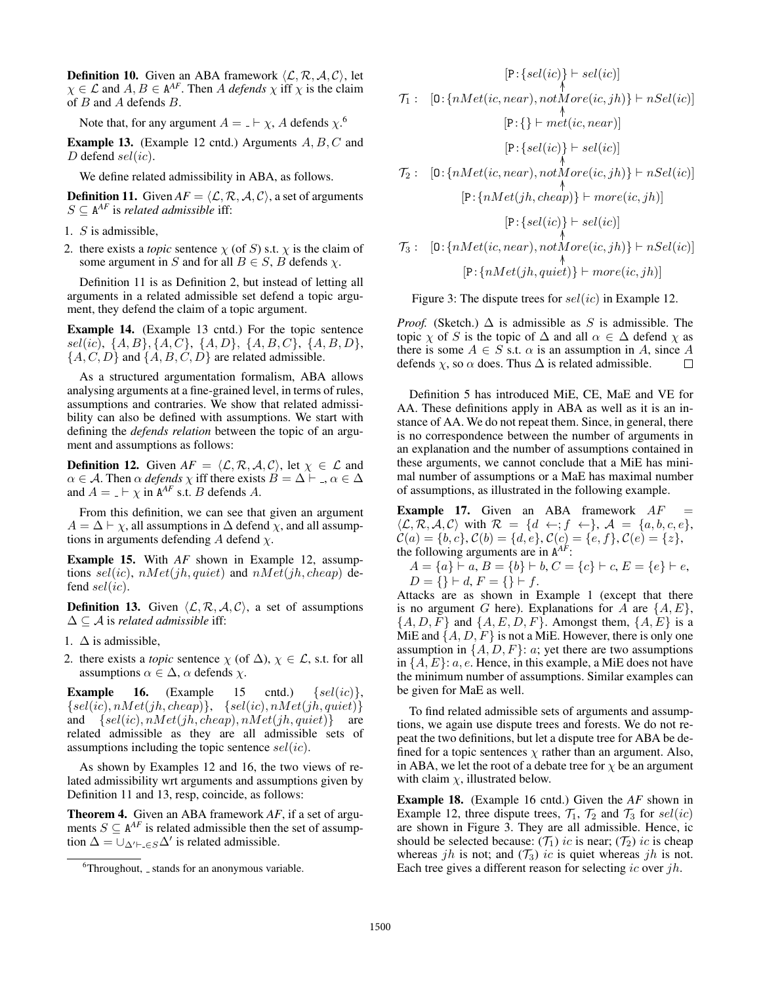**Definition 10.** Given an ABA framework  $\langle \mathcal{L}, \mathcal{R}, \mathcal{A}, \mathcal{C} \rangle$ , let  $\chi \in \mathcal{L}$  and  $A, B \in \mathbb{A}^{AF}$ . Then A *defends*  $\chi$  iff  $\chi$  is the claim of B and A defends B.

Note that, for any argument  $A = \bot \vdash \chi$ , A defends  $\chi$ .<sup>6</sup>

**Example 13.** (Example 12 cntd.) Arguments  $A, B, C$  and D defend  $\text{sel}(ic)$ .

We define related admissibility in ABA, as follows.

**Definition 11.** Given  $AF = \langle \mathcal{L}, \mathcal{R}, \mathcal{A}, \mathcal{C} \rangle$ , a set of arguments  $S \subseteq A^{AF}$  is *related admissible* iff:

- 1. S is admissible,
- 2. there exists a *topic* sentence  $\chi$  (of S) s.t.  $\chi$  is the claim of some argument in S and for all  $B \in S$ , B defends  $\chi$ .

Definition 11 is as Definition 2, but instead of letting all arguments in a related admissible set defend a topic argument, they defend the claim of a topic argument.

Example 14. (Example 13 cntd.) For the topic sentence  $sel(ic), \{A, B\}, \{A, C\}, \{A, D\}, \{A, B, C\}, \{A, B, D\},\$  $\{A, C, D\}$  and  $\{A, B, C, D\}$  are related admissible.

As a structured argumentation formalism, ABA allows analysing arguments at a fine-grained level, in terms of rules, assumptions and contraries. We show that related admissibility can also be defined with assumptions. We start with defining the *defends relation* between the topic of an argument and assumptions as follows:

**Definition 12.** Given  $AF = \langle \mathcal{L}, \mathcal{R}, \mathcal{A}, \mathcal{C} \rangle$ , let  $\chi \in \mathcal{L}$  and  $\alpha \in \mathcal{A}$ . Then  $\alpha$  *defends*  $\chi$  iff there exists  $B = \Delta \vdash A$ ,  $\alpha \in \Delta$ and  $A = \Box \vdash \chi$  in  $A^{AF}$  s.t. *B* defends *A*.

From this definition, we can see that given an argument  $A = \Delta \vdash \chi$ , all assumptions in  $\Delta$  defend  $\chi$ , and all assumptions in arguments defending A defend  $\chi$ .

Example 15. With *AF* shown in Example 12, assumptions  $\text{sel}(ic)$ ,  $\text{nMet}(jh, \text{quiet})$  and  $\text{nMet}(jh, \text{cheap})$  defend  $\text{sel}(ic)$ .

**Definition 13.** Given  $\langle \mathcal{L}, \mathcal{R}, \mathcal{A}, \mathcal{C} \rangle$ , a set of assumptions ∆ ⊆ A is *related admissible* iff:

- 1.  $\Delta$  is admissible,
- 2. there exists a *topic* sentence  $\chi$  (of  $\Delta$ ),  $\chi \in \mathcal{L}$ , s.t. for all assumptions  $\alpha \in \Delta$ ,  $\alpha$  defends  $\chi$ .

**Example 16.** (Example 15 cntd.)  $\{sel(ic)\},\$  ${sel(ic), nMet(jh, cheap)}$ ,  ${sel(ic), nMet(jh, quiet)}$ and  $\{sel(ic), nMet(jh, cheap), nMet(jh, quiet)\}$  are related admissible as they are all admissible sets of assumptions including the topic sentence  $\text{sel}(ic)$ .

As shown by Examples 12 and 16, the two views of related admissibility wrt arguments and assumptions given by Definition 11 and 13, resp, coincide, as follows:

Theorem 4. Given an ABA framework *AF*, if a set of arguments  $S \subseteq A^{AF}$  is related admissible then the set of assumption  $\Delta = \bigcup_{\Delta' \vdash \bot \in S} \Delta'$  is related admissible.

$$
[P:\{sel(ic)\} \vdash sel(ic)]
$$
\n
$$
\mathcal{T}_1: [0:\{nMet(ic, near), notMore(ic, jh)\} \vdash nSel(ic)]
$$
\n
$$
[P:\{\} \vdash met(ic, near)]
$$
\n
$$
[P:\{sel(ic)\} \vdash sel(ic)]
$$
\n
$$
\mathcal{T}_2: [0:\{nMet(ic, near), notMore(ic, jh)\} \vdash nSel(ic)]
$$
\n
$$
[P:\{nMet(jh, cheap)\} \vdash more(ic, jh)]
$$
\n
$$
[P:\{sel(ic)\} \vdash sel(ic)]
$$
\n
$$
\mathcal{T}_3: [0:\{nMet(ic, near), notMore(ic, jh)\} \vdash nSel(ic)]
$$
\n
$$
[P:\{nMet(jh, quiet) \} \vdash more(ic, jh)]
$$

Figure 3: The dispute trees for  $\text{sel}(ic)$  in Example 12.

*Proof.* (Sketch.)  $\Delta$  is admissible as S is admissible. The topic  $\chi$  of S is the topic of  $\Delta$  and all  $\alpha \in \Delta$  defend  $\chi$  as there is some  $A \in S$  s.t.  $\alpha$  is an assumption in A, since A defends  $\chi$ , so  $\alpha$  does. Thus  $\Delta$  is related admissible.  $\Box$ 

Definition 5 has introduced MiE, CE, MaE and VE for AA. These definitions apply in ABA as well as it is an instance of AA. We do not repeat them. Since, in general, there is no correspondence between the number of arguments in an explanation and the number of assumptions contained in these arguments, we cannot conclude that a MiE has minimal number of assumptions or a MaE has maximal number of assumptions, as illustrated in the following example.

**Example 17.** Given an ABA framework  $AF$  $\langle \mathcal{L}, \mathcal{R}, \mathcal{A}, \mathcal{C} \rangle$  with  $\mathcal{R} = \{d \leftarrow; f \leftarrow\}, \mathcal{A} = \{a, b, c, e\},\$  $\mathcal{C}(a) = \{b, c\}, \mathcal{C}(b) = \{d, e\}, \mathcal{C}(c) = \{e, f\}, \mathcal{C}(e) = \{z\},\$ the following arguments are in A *AF*:

 $A = \{a\} \vdash a, B = \{b\} \vdash b, C = \{c\} \vdash c, E = \{e\} \vdash e,$  $D = \{\} \vdash d, F = \{\} \vdash f.$ 

Attacks are as shown in Example 1 (except that there is no argument G here). Explanations for A are  $\{A, E\}$ ,  $\{A, D, F\}$  and  $\{A, E, D, F\}$ . Amongst them,  $\{A, E\}$  is a MiE and  $\{A, D, F\}$  is not a MiE. However, there is only one assumption in  $\{A, D, F\}$ : *a*; yet there are two assumptions in  $\{A, E\}$ : a, e. Hence, in this example, a MiE does not have the minimum number of assumptions. Similar examples can be given for MaE as well.

To find related admissible sets of arguments and assumptions, we again use dispute trees and forests. We do not repeat the two definitions, but let a dispute tree for ABA be defined for a topic sentences  $\chi$  rather than an argument. Also, in ABA, we let the root of a debate tree for  $\chi$  be an argument with claim  $\chi$ , illustrated below.

Example 18. (Example 16 cntd.) Given the *AF* shown in Example 12, three dispute trees,  $\mathcal{T}_1$ ,  $\mathcal{T}_2$  and  $\mathcal{T}_3$  for  $\text{sel}(ic)$ are shown in Figure 3. They are all admissible. Hence, ic should be selected because:  $(\mathcal{T}_1)$  ic is near;  $(\mathcal{T}_2)$  ic is cheap whereas jh is not; and  $(\mathcal{T}_3)$  ic is quiet whereas jh is not. Each tree gives a different reason for selecting ic over  $jh$ .

 $6$ Throughout,  $\overline{\ }$  stands for an anonymous variable.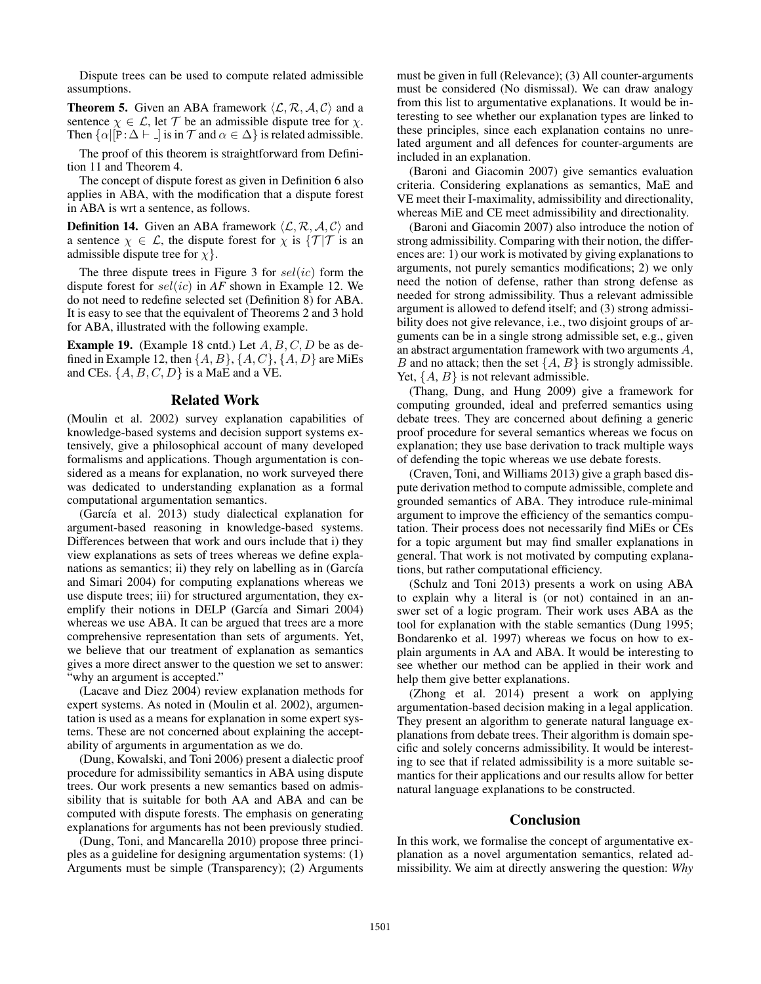Dispute trees can be used to compute related admissible assumptions.

**Theorem 5.** Given an ABA framework  $\langle \mathcal{L}, \mathcal{R}, \mathcal{A}, \mathcal{C} \rangle$  and a sentence  $\gamma \in \mathcal{L}$ , let T be an admissible dispute tree for  $\gamma$ . Then  $\{\alpha | [P:\Delta \vdash \ ] \text{ is in } \mathcal{T} \text{ and } \alpha \in \Delta \}$  is related admissible.

The proof of this theorem is straightforward from Definition 11 and Theorem 4.

The concept of dispute forest as given in Definition 6 also applies in ABA, with the modification that a dispute forest in ABA is wrt a sentence, as follows.

**Definition 14.** Given an ABA framework  $\langle \mathcal{L}, \mathcal{R}, \mathcal{A}, \mathcal{C} \rangle$  and a sentence  $\chi \in \mathcal{L}$ , the dispute forest for  $\chi$  is  $\{\mathcal{T} | \mathcal{T}\}$  is an admissible dispute tree for  $\chi$ .

The three dispute trees in Figure 3 for  $\text{sel}(ic)$  form the dispute forest for sel(ic) in *AF* shown in Example 12. We do not need to redefine selected set (Definition 8) for ABA. It is easy to see that the equivalent of Theorems 2 and 3 hold for ABA, illustrated with the following example.

**Example 19.** (Example 18 cntd.) Let  $A, B, C, D$  be as defined in Example 12, then  $\{A, B\}, \{A, C\}, \{A, D\}$  are MiEs and CEs.  $\{A, B, C, D\}$  is a MaE and a VE.

#### Related Work

(Moulin et al. 2002) survey explanation capabilities of knowledge-based systems and decision support systems extensively, give a philosophical account of many developed formalisms and applications. Though argumentation is considered as a means for explanation, no work surveyed there was dedicated to understanding explanation as a formal computational argumentation semantics.

 $(García et al. 2013) study dialectical explanation for$ argument-based reasoning in knowledge-based systems. Differences between that work and ours include that i) they view explanations as sets of trees whereas we define explanations as semantics; ii) they rely on labelling as in (García and Simari 2004) for computing explanations whereas we use dispute trees; iii) for structured argumentation, they exemplify their notions in DELP (García and Simari 2004) whereas we use ABA. It can be argued that trees are a more comprehensive representation than sets of arguments. Yet, we believe that our treatment of explanation as semantics gives a more direct answer to the question we set to answer: "why an argument is accepted."

(Lacave and Diez 2004) review explanation methods for expert systems. As noted in (Moulin et al. 2002), argumentation is used as a means for explanation in some expert systems. These are not concerned about explaining the acceptability of arguments in argumentation as we do.

(Dung, Kowalski, and Toni 2006) present a dialectic proof procedure for admissibility semantics in ABA using dispute trees. Our work presents a new semantics based on admissibility that is suitable for both AA and ABA and can be computed with dispute forests. The emphasis on generating explanations for arguments has not been previously studied.

(Dung, Toni, and Mancarella 2010) propose three principles as a guideline for designing argumentation systems: (1) Arguments must be simple (Transparency); (2) Arguments must be given in full (Relevance); (3) All counter-arguments must be considered (No dismissal). We can draw analogy from this list to argumentative explanations. It would be interesting to see whether our explanation types are linked to these principles, since each explanation contains no unrelated argument and all defences for counter-arguments are included in an explanation.

(Baroni and Giacomin 2007) give semantics evaluation criteria. Considering explanations as semantics, MaE and VE meet their I-maximality, admissibility and directionality, whereas MiE and CE meet admissibility and directionality.

(Baroni and Giacomin 2007) also introduce the notion of strong admissibility. Comparing with their notion, the differences are: 1) our work is motivated by giving explanations to arguments, not purely semantics modifications; 2) we only need the notion of defense, rather than strong defense as needed for strong admissibility. Thus a relevant admissible argument is allowed to defend itself; and (3) strong admissibility does not give relevance, i.e., two disjoint groups of arguments can be in a single strong admissible set, e.g., given an abstract argumentation framework with two arguments A, B and no attack; then the set  $\{A, B\}$  is strongly admissible. Yet,  $\{A, B\}$  is not relevant admissible.

(Thang, Dung, and Hung 2009) give a framework for computing grounded, ideal and preferred semantics using debate trees. They are concerned about defining a generic proof procedure for several semantics whereas we focus on explanation; they use base derivation to track multiple ways of defending the topic whereas we use debate forests.

(Craven, Toni, and Williams 2013) give a graph based dispute derivation method to compute admissible, complete and grounded semantics of ABA. They introduce rule-minimal argument to improve the efficiency of the semantics computation. Their process does not necessarily find MiEs or CEs for a topic argument but may find smaller explanations in general. That work is not motivated by computing explanations, but rather computational efficiency.

(Schulz and Toni 2013) presents a work on using ABA to explain why a literal is (or not) contained in an answer set of a logic program. Their work uses ABA as the tool for explanation with the stable semantics (Dung 1995; Bondarenko et al. 1997) whereas we focus on how to explain arguments in AA and ABA. It would be interesting to see whether our method can be applied in their work and help them give better explanations.

(Zhong et al. 2014) present a work on applying argumentation-based decision making in a legal application. They present an algorithm to generate natural language explanations from debate trees. Their algorithm is domain specific and solely concerns admissibility. It would be interesting to see that if related admissibility is a more suitable semantics for their applications and our results allow for better natural language explanations to be constructed.

#### Conclusion

In this work, we formalise the concept of argumentative explanation as a novel argumentation semantics, related admissibility. We aim at directly answering the question: *Why*